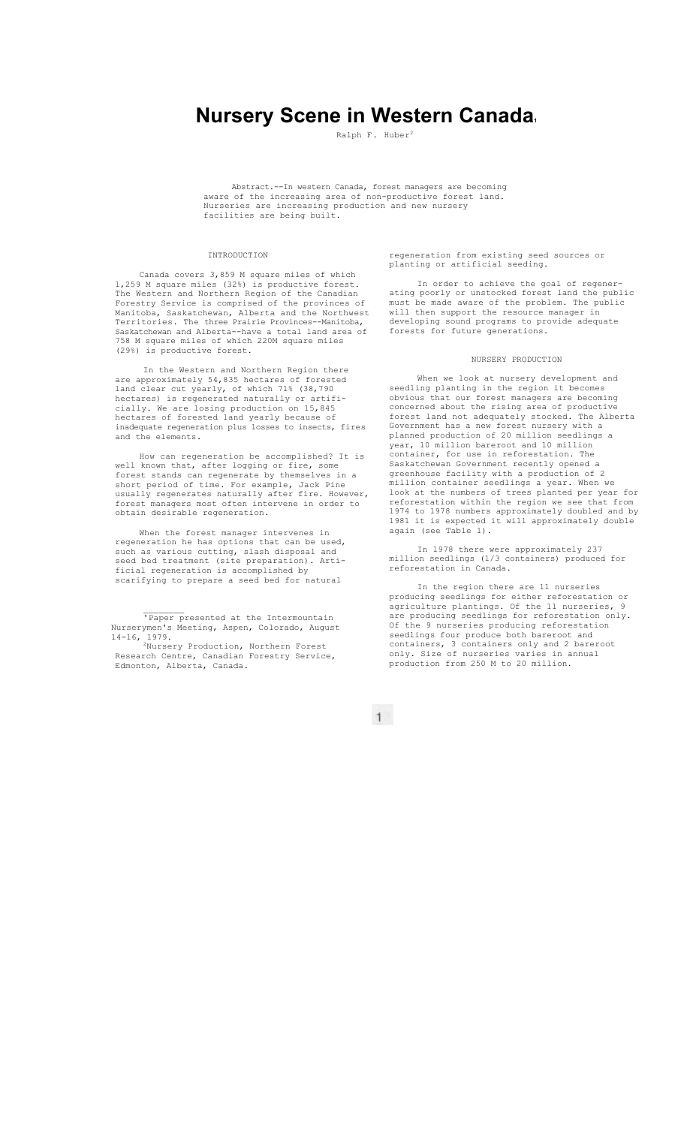# **Nursery Scene in Western Canada.**

Ralph F. Huber<sup>2</sup>

Abstract.--In western Canada, forest managers are becoming aware of the increasing area of non-productive forest land. Nurseries are increasing production and new nursery facilities are being built.

## INTRODUCTION

Canada covers 3,859 M square miles of which 1,259 M square miles (32%) is productive forest. The Western and Northern Region of the Canadian Forestry Service is comprised of the provinces of Manitoba, Saskatchewan, Alberta and the Northwest Territories. The three Prairie Provinces--Manitoba, Saskatchewan and Alberta--have a total land area of 758 M square miles of which 220M square miles (29%) is productive forest.

In the Western and Northern Region there are approximately 54,835 hectares of forested land clear cut yearly, of which 71% (38,790 hectares) is regenerated naturally or artificially. We are losing production on 15,845 hectares of forested land yearly because of inadequate regeneration plus losses to insects, fires and the elements.

How can regeneration be accomplished? It is well known that, after logging or fire, some forest stands can regenerate by themselves in a short period of time. For example, Jack Pine usually regenerates naturally after fire. However, forest managers most often intervene in order to obtain desirable regeneration.

When the forest manager intervenes in regeneration he has options that can be used, such as various cutting, slash disposal and seed bed treatment (site preparation). Artificial regeneration is accomplished by scarifying to prepare a seed bed for natural

'Paper presented at the Intermountain Nurserymen's Meeting, Aspen, Colorado, August 14-16, 1979.<br><sup>2</sup>Nursery Production, Northern Forest

Research Centre, Canadian Forestry Service, Edmonton, Alberta, Canada.

regeneration from existing seed sources or planting or artificial seeding.

In order to achieve the goal of regenerating poorly or unstocked forest land the public must be made aware of the problem. The public will then support the resource manager in developing sound programs to provide adequate forests for future generations.

### NURSERY PRODUCTION

When we look at nursery development and seedling planting in the region it becomes obvious that our forest managers are becoming concerned about the rising area of productive forest land not adequately stocked. The Alberta Government has a new forest nursery with a planned production of 20 million seedlings a year, 10 million bareroot and 10 million container, for use in reforestation. The Saskatchewan Government recently opened a greenhouse facility with a production of 2 million container seedlings a year. When we look at the numbers of trees planted per year for reforestation within the region we see that from 1974 to 1978 numbers approximately doubled and by 1981 it is expected it will approximately double again (see Table 1).

In 1978 there were approximately 237 million seedlings (1/3 containers) produced for reforestation in Canada.

In the region there are 11 nurseries producing seedlings for either reforestation or agriculture plantings. Of the 11 nurseries, 9 are producing seedlings for reforestation only. Of the 9 nurseries producing reforestation seedlings four produce both bareroot and containers, 3 containers only and 2 bareroot only. Size of nurseries varies in annual production from 250 M to 20 million.

 $1$